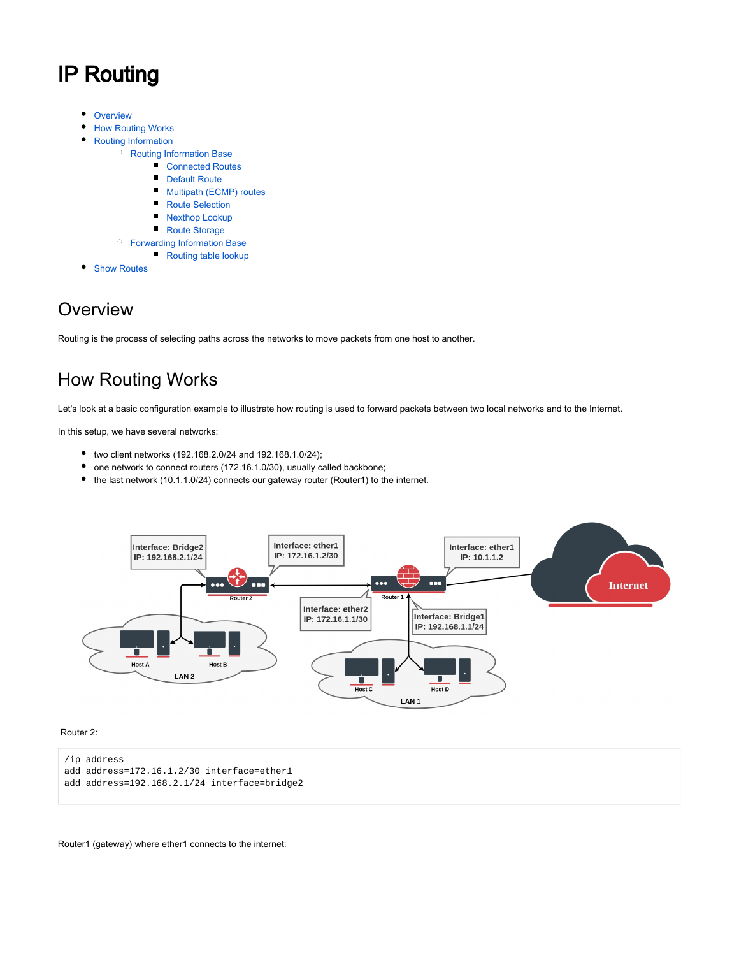# IP Routing

- $\bullet$ **[Overview](#page-0-0)**
- [How Routing Works](#page-0-1)  $\bullet$
- [Routing Information](#page-1-0)
	- <sup>O</sup> [Routing Information Base](#page-2-0)
		- [Connected Routes](#page-2-1)
		- [Default Route](#page-2-2)
		- $\blacksquare$ [Multipath \(ECMP\) routes](#page-3-0)
		- $\blacksquare$ [Route Selection](#page-4-0)
		- $\blacksquare$ [Nexthop Lookup](#page-4-1)
		- [Route Storage](#page-5-0)
	- [Forwarding Information Base](#page-6-0)
		- [Routing table lookup](#page-6-1)
- **[Show Routes](#page-8-0)**  $\bullet$

## <span id="page-0-0"></span>**Overview**

Routing is the process of selecting paths across the networks to move packets from one host to another.

# <span id="page-0-1"></span>How Routing Works

Let's look at a basic configuration example to illustrate how routing is used to forward packets between two local networks and to the Internet.

In this setup, we have several networks:

- two client networks (192.168.2.0/24 and 192.168.1.0/24);
- one network to connect routers (172.16.1.0/30), usually called backbone;
- the last network (10.1.1.0/24) connects our gateway router (Router1) to the internet.



#### Router 2:

```
/ip address
add address=172.16.1.2/30 interface=ether1
add address=192.168.2.1/24 interface=bridge2
```
Router1 (gateway) where ether1 connects to the internet: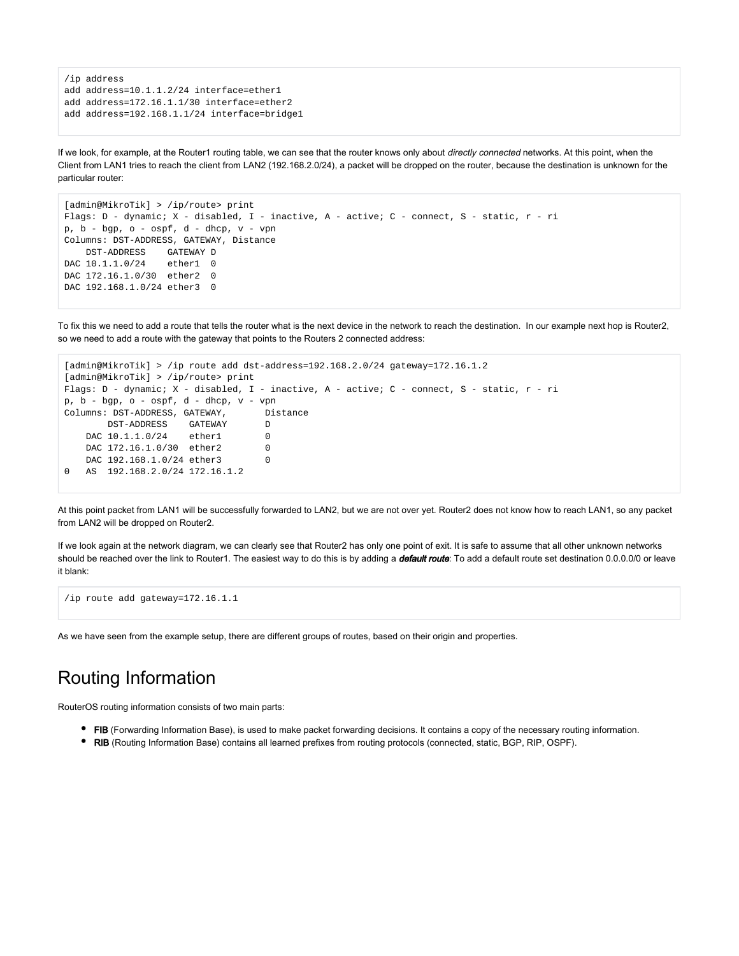```
/ip address
add address=10.1.1.2/24 interface=ether1
add address=172.16.1.1/30 interface=ether2
add address=192.168.1.1/24 interface=bridge1
```
If we look, for example, at the Router1 routing table, we can see that the router knows only about directly connected networks. At this point, when the Client from LAN1 tries to reach the client from LAN2 (192.168.2.0/24), a packet will be dropped on the router, because the destination is unknown for the particular router:

```
[admin@MikroTik] > /ip/route> print 
Flags: D - dynamic; X - disabled, I - inactive, A - active; C - connect, S - static, r - ri
p, b - bgp, o - ospf, d - dhcp, v - vpn
Columns: DST-ADDRESS, GATEWAY, Distance
    DST-ADDRESS GATEWAY D
DAC 10.1.1.0/24 ether1 0
DAC 172.16.1.0/30 ether2 0
DAC 192.168.1.0/24 ether3 0
```
To fix this we need to add a route that tells the router what is the next device in the network to reach the destination. In our example next hop is Router2, so we need to add a route with the gateway that points to the Routers 2 connected address:

```
[admin@MikroTik] > /ip route add dst-address=192.168.2.0/24 gateway=172.16.1.2
[admin@MikroTik] > /ip/route> print 
Flags: D - dynamic; X - disabled, I - inactive, A - active; C - connect, S - static, r - ri
p, b - bgp, o - ospf, d - dhcp, v - vpn
Columns: DST-ADDRESS, GATEWAY, Distance
        DST-ADDRESS GATEWAY D
   DAC 10.1.1.0/24 ether1 0
   DAC 172.16.1.0/30 ether2 0
   DAC 192.168.1.0/24 ether3 0
0 AS 192.168.2.0/24 172.16.1.2
```
At this point packet from LAN1 will be successfully forwarded to LAN2, but we are not over yet. Router2 does not know how to reach LAN1, so any packet from LAN2 will be dropped on Router2.

If we look again at the network diagram, we can clearly see that Router2 has only one point of exit. It is safe to assume that all other unknown networks should be reached over the link to Router1. The easiest way to do this is by adding a *default route*: To add a default route set destination 0.0.0.0/0 or leave it blank:

```
/ip route add gateway=172.16.1.1
```
As we have seen from the example setup, there are different groups of routes, based on their origin and properties.

# <span id="page-1-0"></span>Routing Information

RouterOS routing information consists of two main parts:

- FIB (Forwarding Information Base), is used to make packet forwarding decisions. It contains a copy of the necessary routing information.
- ٠ RIB (Routing Information Base) contains all learned prefixes from routing protocols (connected, static, BGP, RIP, OSPF).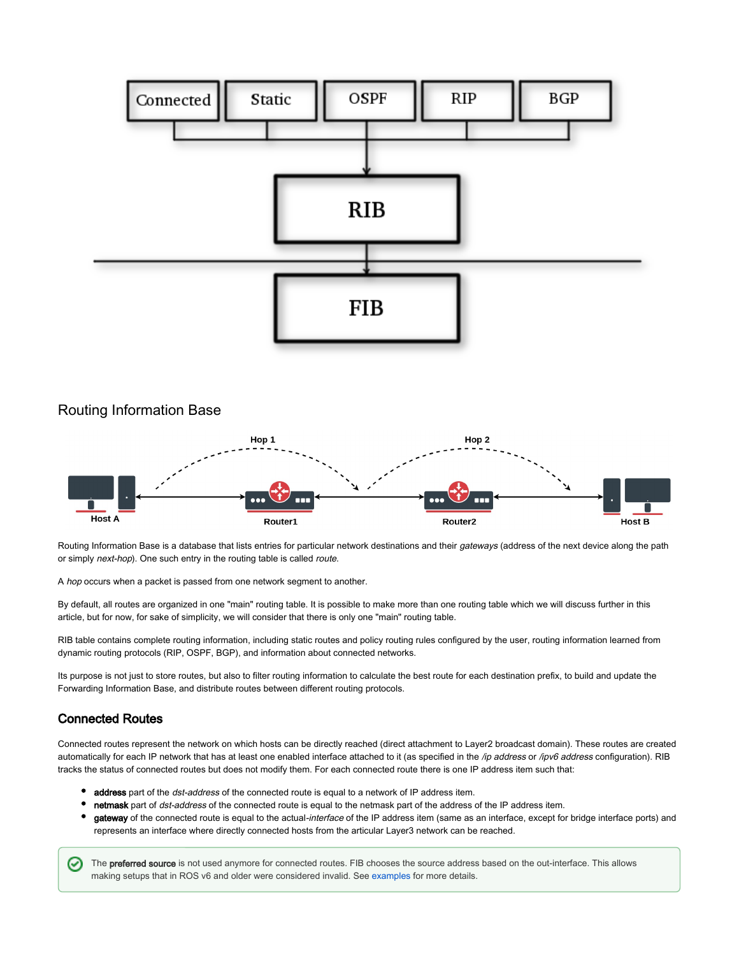

#### <span id="page-2-0"></span>Routing Information Base



Routing Information Base is a database that lists entries for particular network destinations and their gateways (address of the next device along the path or simply next-hop). One such entry in the routing table is called route.

A hop occurs when a packet is passed from one network segment to another.

By default, all routes are organized in one "main" routing table. It is possible to make more than one routing table which we will discuss further in this article, but for now, for sake of simplicity, we will consider that there is only one "main" routing table.

RIB table contains complete routing information, including static routes and policy routing rules configured by the user, routing information learned from dynamic routing protocols (RIP, OSPF, BGP), and information about connected networks.

Its purpose is not just to store routes, but also to filter routing information to calculate the best route for each destination prefix, to build and update the Forwarding Information Base, and distribute routes between different routing protocols.

#### <span id="page-2-1"></span>Connected Routes

Connected routes represent the network on which hosts can be directly reached (direct attachment to Layer2 broadcast domain). These routes are created automatically for each IP network that has at least one enabled interface attached to it (as specified in the /ip address or /ipv6 address configuration). RIB tracks the status of connected routes but does not modify them. For each connected route there is one IP address item such that:

- address part of the dst-address of the connected route is equal to a network of IP address item.
- netmask part of dst-address of the connected route is equal to the netmask part of the address of the IP address item.
- gateway of the connected route is equal to the actual-interface of the IP address item (same as an interface, except for bridge interface ports) and represents an interface where directly connected hosts from the articular Layer3 network can be reached.

<span id="page-2-2"></span>The preferred source is not used anymore for connected routes. FIB chooses the source address based on the out-interface. This allows ⊘ making setups that in ROS v6 and older were considered invalid. See [examples](https://wiki.mikrotik.com/wiki/Manual:Route_lookup_example) for more details.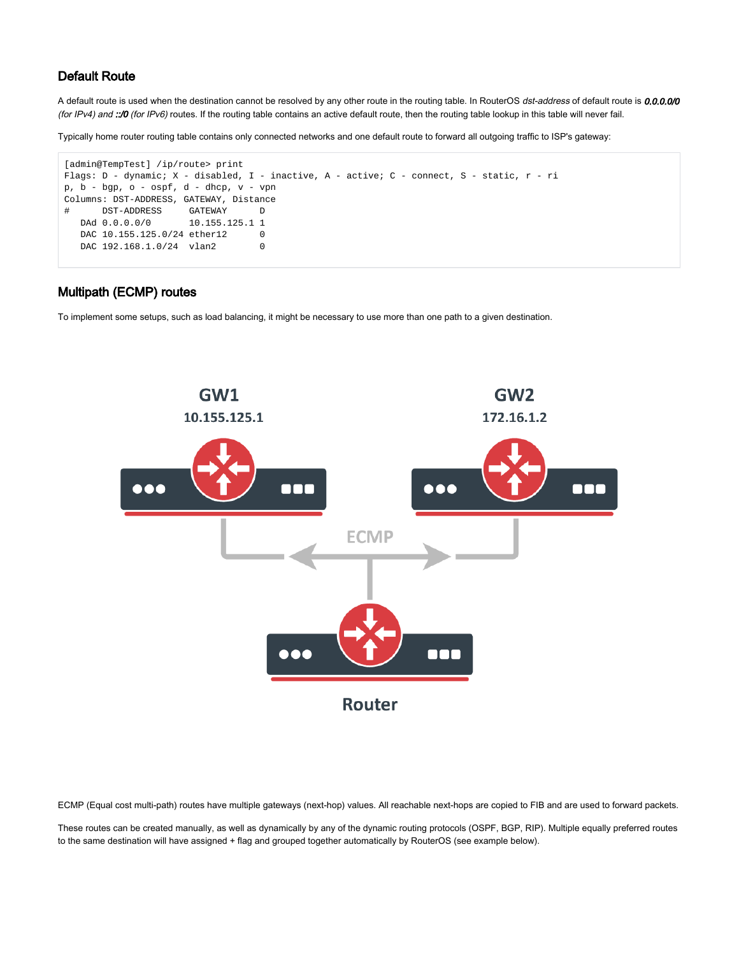#### Default Route

⊗

A default route is used when the destination cannot be resolved by any other route in the routing table. In RouterOS dst-address of default route is 0.0.0.0/0 (for IPv4) and ::/0 (for IPv6) routes. If the routing table contains an active default route, then the routing table lookup in this table will never fail.

Typically home router routing table contains only connected networks and one default route to forward all outgoing traffic to ISP's gateway:

```
[admin@TempTest] /ip/route> print 
Flags: D - dynamic; X - disabled, I - inactive, A - active; C - connect, S - static, r - ri
p, b - bgp, o - ospf, d - dhep, v - vpnColumns: DST-ADDRESS, GATEWAY, Distance
# DST-ADDRESS GATEWAY D
  DAd 0.0.0.0/0 10.155.125.1 1
  DAC 10.155.125.0/24 ether12 0
  DAC 192.168.1.0/24 vlan2 0
```
#### <span id="page-3-0"></span>Multipath (ECMP) routes

To implement some setups, such as load balancing, it might be necessary to use more than one path to a given destination.



ECMP (Equal cost multi-path) routes have multiple gateways (next-hop) values. All reachable next-hops are copied to FIB and are used to forward packets.

These routes can be created manually, as well as dynamically by any of the dynamic routing protocols (OSPF, BGP, RIP). Multiple equally preferred routes to the same destination will have assigned + flag and grouped together automatically by RouterOS (see example below).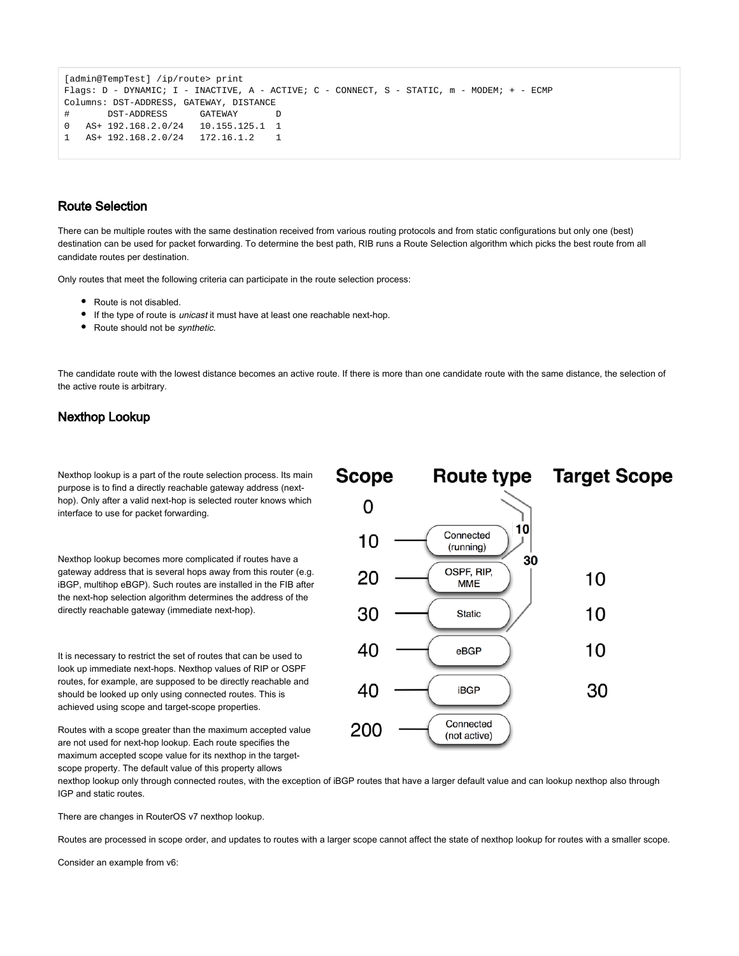```
[admin@TempTest] /ip/route> print 
Flags: D - DYNAMIC; I - INACTIVE, A - ACTIVE; C - CONNECT, S - STATIC, m - MODEM; + - ECMP
Columns: DST-ADDRESS, GATEWAY, DISTANCE
# DST-ADDRESS GATEWAY D
0 AS+ 192.168.2.0/24 10.155.125.1 1
1 AS+ 192.168.2.0/24 172.16.1.2 1
```
#### <span id="page-4-0"></span>Route Selection

There can be multiple routes with the same destination received from various routing protocols and from static configurations but only one (best) destination can be used for packet forwarding. To determine the best path, RIB runs a Route Selection algorithm which picks the best route from all candidate routes per destination.

Only routes that meet the following criteria can participate in the route selection process:

- Route is not disabled.
- If the type of route is *unicast* it must have at least one reachable next-hop.
- Route should not be synthetic.

The candidate route with the lowest distance becomes an active route. If there is more than one candidate route with the same distance, the selection of the active route is arbitrary.

#### <span id="page-4-1"></span>Nexthop Lookup

Nexthop lookup is a part of the route selection process. Its main purpose is to find a directly reachable gateway address (nexthop). Only after a valid next-hop is selected router knows which interface to use for packet forwarding.

Nexthop lookup becomes more complicated if routes have a gateway address that is several hops away from this router (e.g. iBGP, multihop eBGP). Such routes are installed in the FIB after the next-hop selection algorithm determines the address of the directly reachable gateway (immediate next-hop).

It is necessary to restrict the set of routes that can be used to look up immediate next-hops. Nexthop values of RIP or OSPF routes, for example, are supposed to be directly reachable and should be looked up only using connected routes. This is achieved using scope and target-scope properties.

Routes with a scope greater than the maximum accepted value are not used for next-hop lookup. Each route specifies the maximum accepted scope value for its nexthop in the targetscope property. The default value of this property allows



nexthop lookup only through connected routes, with the exception of iBGP routes that have a larger default value and can lookup nexthop also through IGP and static routes.

There are changes in RouterOS v7 nexthop lookup.

Routes are processed in scope order, and updates to routes with a larger scope cannot affect the state of nexthop lookup for routes with a smaller scope.

Consider an example from v6: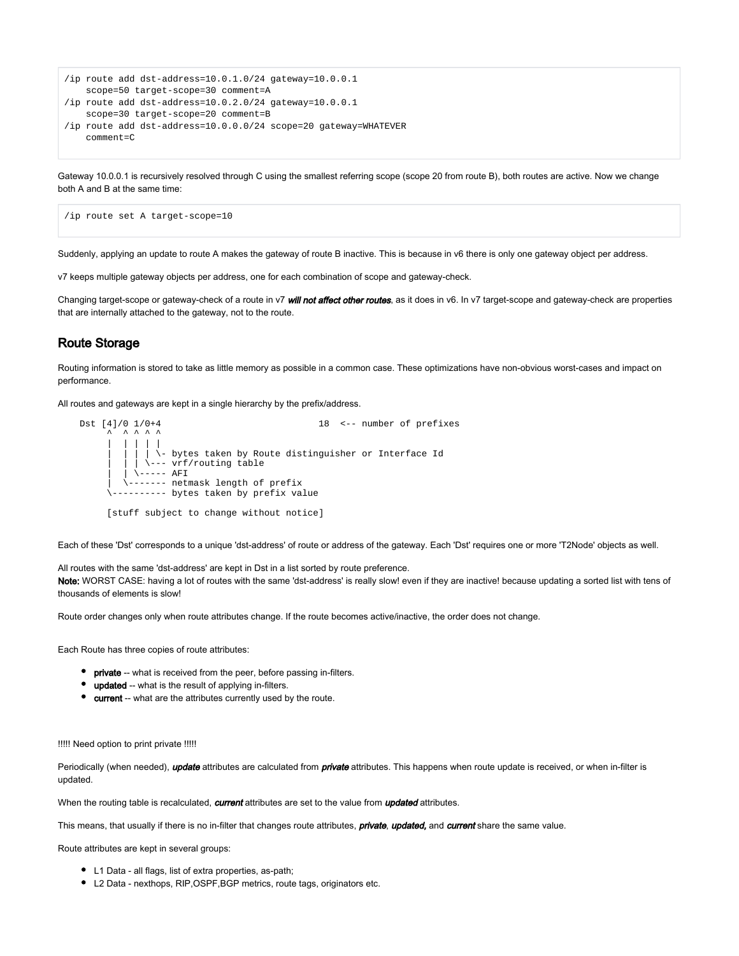```
/ip route add dst-address=10.0.1.0/24 gateway=10.0.0.1
    scope=50 target-scope=30 comment=A
/ip route add dst-address=10.0.2.0/24 gateway=10.0.0.1
    scope=30 target-scope=20 comment=B
/ip route add dst-address=10.0.0.0/24 scope=20 gateway=WHATEVER
    comment=C
```
Gateway 10.0.0.1 is recursively resolved through C using the smallest referring scope (scope 20 from route B), both routes are active. Now we change both A and B at the same time:

```
/ip route set A target-scope=10
```
Suddenly, applying an update to route A makes the gateway of route B inactive. This is because in v6 there is only one gateway object per address.

v7 keeps multiple gateway objects per address, one for each combination of scope and gateway-check.

Changing target-scope or gateway-check of a route in v7 *will not affect other routes*, as it does in v6. In v7 target-scope and gateway-check are properties that are internally attached to the gateway, not to the route.

#### <span id="page-5-0"></span>Route Storage

Routing information is stored to take as little memory as possible in a common case. These optimizations have non-obvious worst-cases and impact on performance.

All routes and gateways are kept in a single hierarchy by the prefix/address.

```
Dst [4]/0 1/0+4 18 <-- number of prefixes
\lambda \lambda \lambda \lambda \lambda | | | | |
                | \backslash- bytes taken by Route distinguisher or Interface Id
                 | | | \--- vrf/routing table
              \sqrt{---} AFI
             | \------- netmask length of prefix
          --------- bytes taken by prefix value
         [stuff subject to change without notice]
```
Each of these 'Dst' corresponds to a unique 'dst-address' of route or address of the gateway. Each 'Dst' requires one or more 'T2Node' objects as well.

All routes with the same 'dst-address' are kept in Dst in a list sorted by route preference. Note: WORST CASE: having a lot of routes with the same 'dst-address' is really slow! even if they are inactive! because updating a sorted list with tens of thousands of elements is slow!

Route order changes only when route attributes change. If the route becomes active/inactive, the order does not change.

Each Route has three copies of route attributes:

- **•** private -- what is received from the peer, before passing in-filters.
- **•** updated -- what is the result of applying in-filters.
- **•** current -- what are the attributes currently used by the route.

!!!!! Need option to print private !!!!!

Periodically (when needed), *update* attributes are calculated from *private* attributes. This happens when route update is received, or when in-filter is updated.

When the routing table is recalculated, current attributes are set to the value from updated attributes.

This means, that usually if there is no in-filter that changes route attributes, **private, updated,** and **current** share the same value.

Route attributes are kept in several groups:

- L1 Data all flags, list of extra properties, as-path;
- L2 Data nexthops, RIP,OSPF,BGP metrics, route tags, originators etc.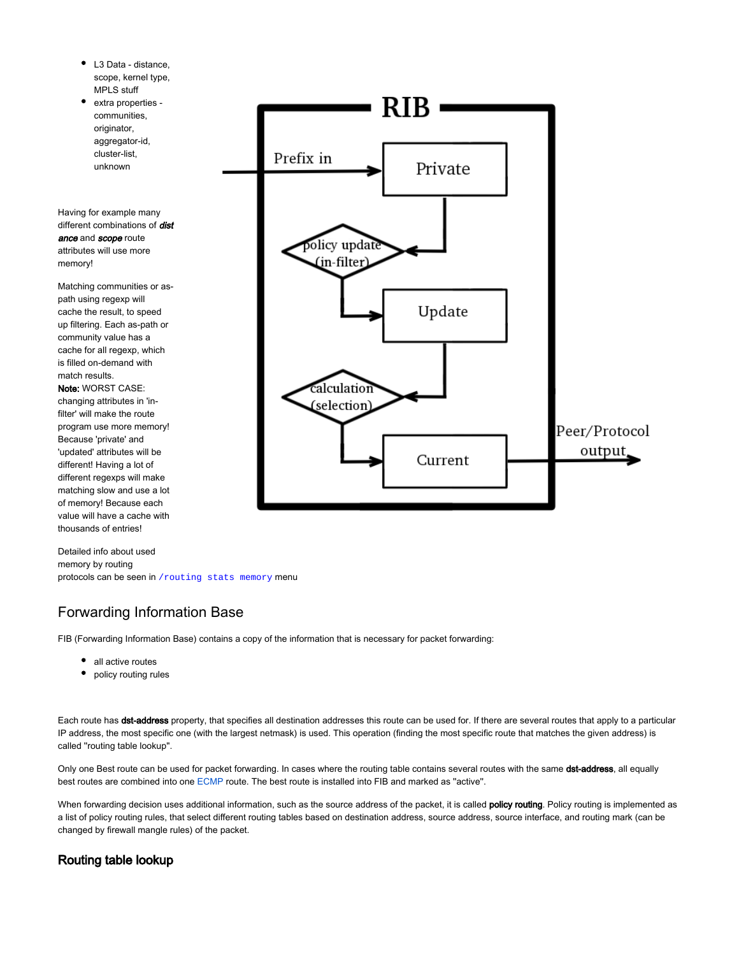- L3 Data distance, ٠ scope, kernel type, MPLS stuff
- extra properties communities, originator, aggregator-id, cluster-list, unknown

Having for example many different combinations of *dist* ance and scope route attributes will use more memory!

Matching communities or aspath using regexp will cache the result, to speed up filtering. Each as-path or community value has a cache for all regexp, which is filled on-demand with match results. Note: WORST CASE: changing attributes in 'infilter' will make the route program use more memory! Because 'private' and 'updated' attributes will be different! Having a lot of different regexps will make matching slow and use a lot of memory! Because each value will have a cache with thousands of entries!

Detailed info about used memory by routing protocols can be seen in /routing stats memory menu

### <span id="page-6-0"></span>Forwarding Information Base

FIB (Forwarding Information Base) contains a copy of the information that is necessary for packet forwarding:

- all active routes
- policy routing rules

Each route has dst-address property, that specifies all destination addresses this route can be used for. If there are several routes that apply to a particular IP address, the most specific one (with the largest netmask) is used. This operation (finding the most specific route that matches the given address) is called ''routing table lookup''.

Only one Best route can be used for packet forwarding. In cases where the routing table contains several routes with the same dst-address, all equally best routes are combined into one [ECMP](https://help.mikrotik.com/docs/display/ROS/How+Packets+Are+Routed#HowPacketsAreRouted-Multipath(ECMP)routes) route. The best route is installed into FIB and marked as "active".

When forwarding decision uses additional information, such as the source address of the packet, it is called policy routing. Policy routing is implemented as a list of policy routing rules, that select different routing tables based on destination address, source address, source interface, and routing mark (can be changed by firewall mangle rules) of the packet.

### <span id="page-6-1"></span>Routing table lookup

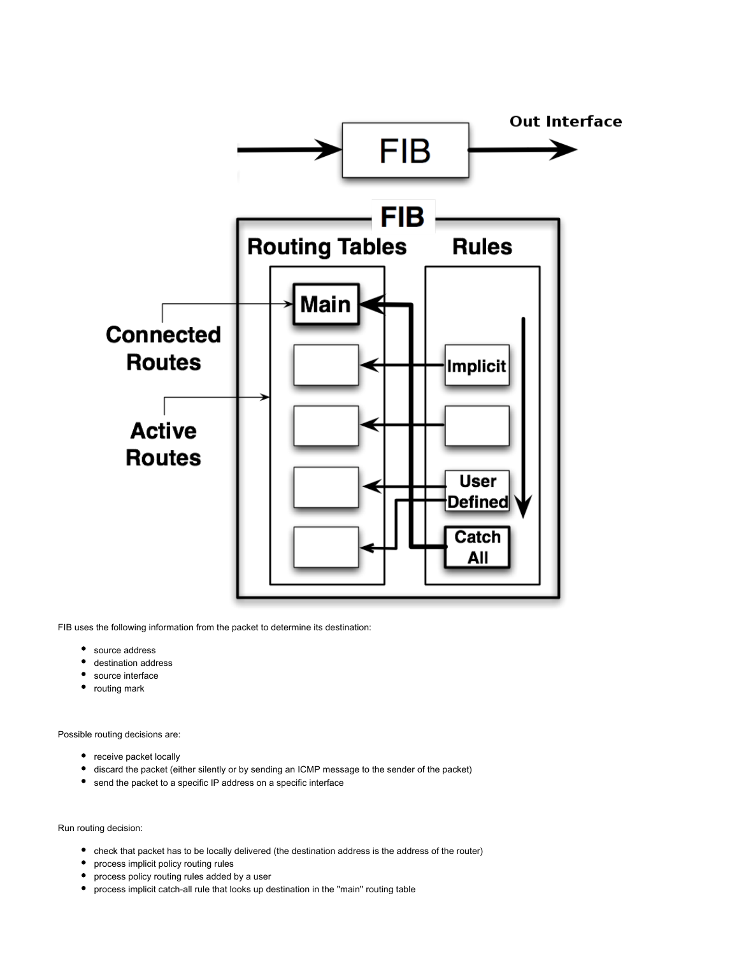

FIB uses the following information from the packet to determine its destination:

- $\bullet$ source address
- destination address
- source interface
- ٠ routing mark

Possible routing decisions are:

- receive packet locally
- discard the packet (either silently or by sending an ICMP message to the sender of the packet)
- send the packet to a specific IP address on a specific interface

Run routing decision:

- check that packet has to be locally delivered (the destination address is the address of the router)
- process implicit policy routing rules
- process policy routing rules added by a user
- process implicit catch-all rule that looks up destination in the "main" routing table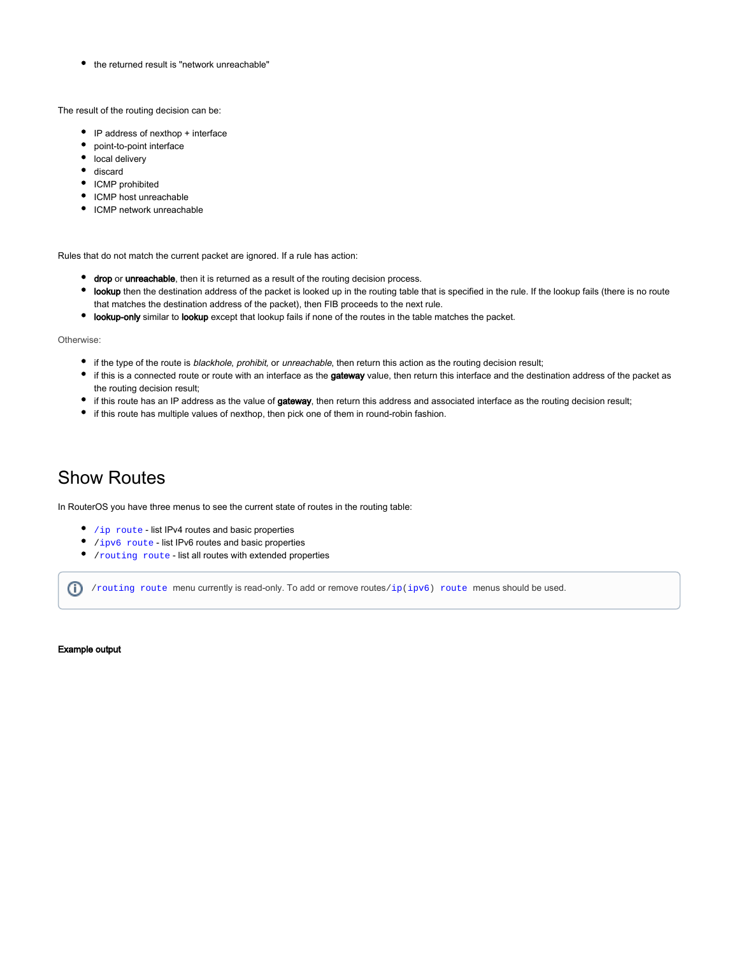• the returned result is "network unreachable"

The result of the routing decision can be:

- IP address of nexthop + interface
- point-to-point interface
- $\bullet$  local delivery
- discard
- ICMP prohibited
- ICMP host unreachable
- ICMP network unreachable

Rules that do not match the current packet are ignored. If a rule has action:

- **drop** or unreachable, then it is returned as a result of the routing decision process.
- **obly** then the destination address of the packet is looked up in the routing table that is specified in the rule. If the lookup fails (there is no route that matches the destination address of the packet), then FIB proceeds to the next rule.
- **lookup-only** similar to lookup except that lookup fails if none of the routes in the table matches the packet.

Otherwise:

- if the type of the route is blackhole, prohibit, or unreachable, then return this action as the routing decision result;
- if this is a connected route or route with an interface as the gateway value, then return this interface and the destination address of the packet as the routing decision result;
- if this route has an IP address as the value of gateway, then return this address and associated interface as the routing decision result;
- if this route has multiple values of nexthop, then pick one of them in round-robin fashion.

# <span id="page-8-0"></span>Show Routes

In RouterOS you have three menus to see the current state of routes in the routing table:

- $\bullet$  /ip route list IPv4 routes and basic properties
- /ipv6 route list IPv6 routes and basic properties
- /routing route list all routes with extended properties

 $(i)$  /routing route menu currently is read-only. To add or remove routes/ip(ipv6) route menus should be used.

Example output